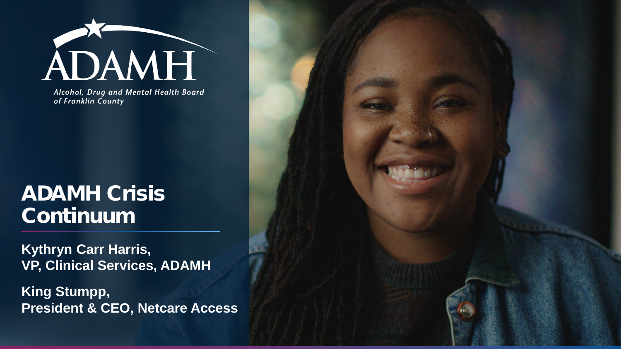

Alcohol, Drug and Mental Health Board of Franklin County

#### ADAMH Crisis Continuum

**Kythryn Carr Harris, VP, Clinical Services, ADAMH**

**King Stumpp, President & CEO, Netcare Access**

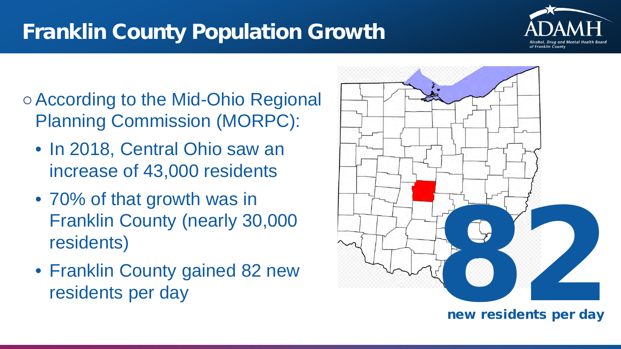#### Franklin County Population Growth



○According to the Mid-Ohio Regional Planning Commission (MORPC):

- In 2018, Central Ohio saw an increase of 43,000 residents
- 70% of that growth was in Franklin County (nearly 30,000 residents)
- Franklin County gained 82 new



new residents per day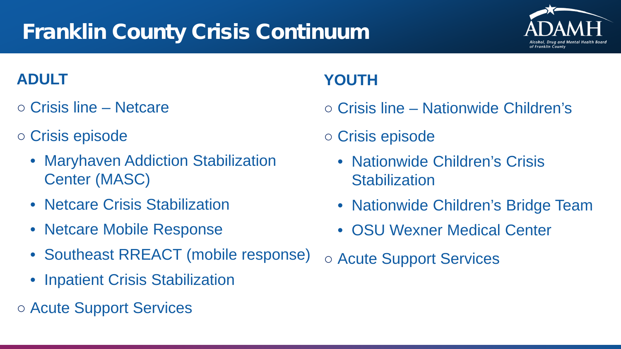## Franklin County Crisis Continuum

#### **ADULT**

- Crisis line Netcare
- Crisis episode
	- Maryhaven Addiction Stabilization Center (MASC)
	- Netcare Crisis Stabilization
	- Netcare Mobile Response
	- Southeast RREACT (mobile response)
	- Inpatient Crisis Stabilization
- Acute Support Services

#### **YOUTH**

- Crisis line Nationwide Children's
- Crisis episode
	- Nationwide Children's Crisis **Stabilization**
	- Nationwide Children's Bridge Team
	- OSU Wexner Medical Center
- Acute Support Services

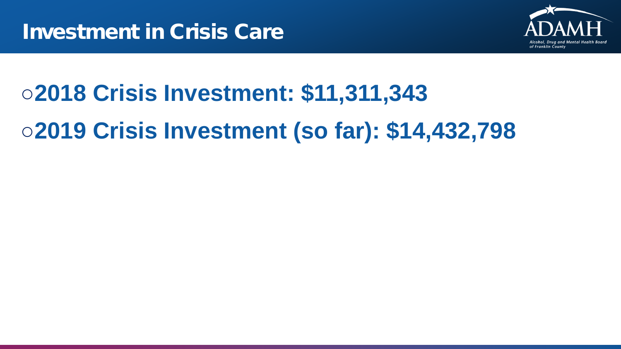

# ○**2018 Crisis Investment: \$11,311,343** ○**2019 Crisis Investment (so far): \$14,432,798**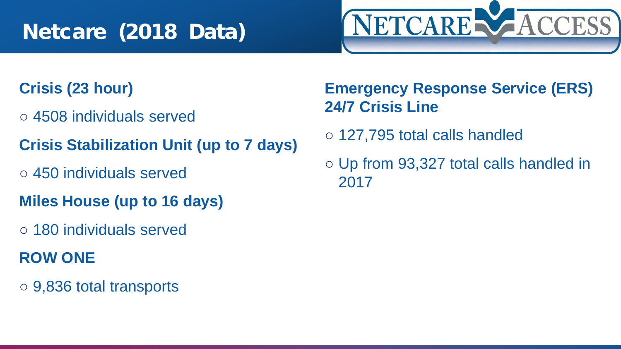#### Netcare (2018 Data)

# NETCARE VACCESS

#### **Crisis (23 hour)**

- 4508 individuals served
- **Crisis Stabilization Unit (up to 7 days)**
- 450 individuals served
- **Miles House (up to 16 days)**
- 180 individuals served

#### **ROW ONE**

○ 9,836 total transports

#### **Emergency Response Service (ERS) 24/7 Crisis Line**

- 127,795 total calls handled
- Up from 93,327 total calls handled in 2017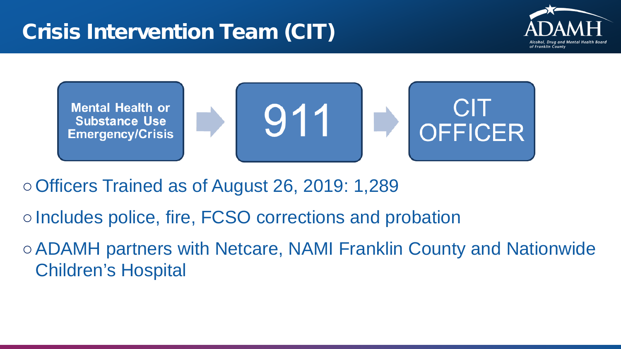



○Officers Trained as of August 26, 2019: 1,289

○Includes police, fire, FCSO corrections and probation

○ADAMH partners with Netcare, NAMI Franklin County and Nationwide Children's Hospital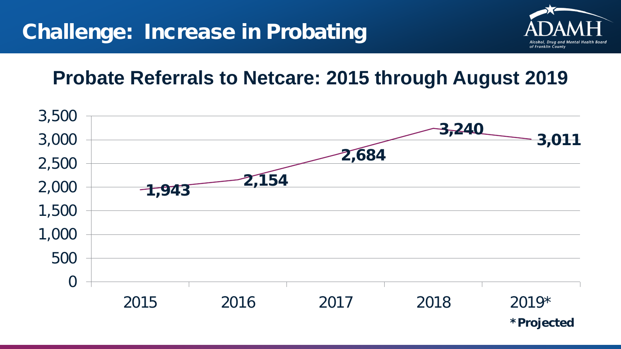

#### **Probate Referrals to Netcare: 2015 through August 2019**

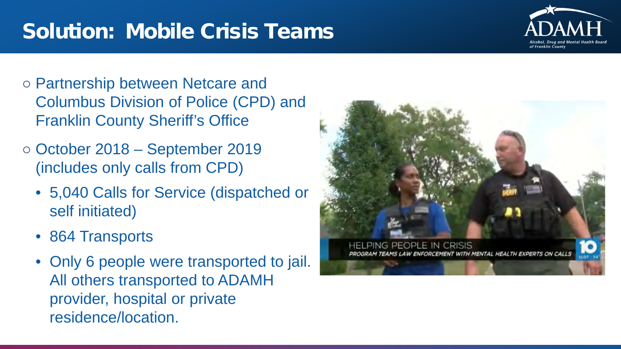#### Solution: Mobile Crisis Teams



- Partnership between Netcare and Columbus Division of Police (CPD) and Franklin County Sheriff's Office
- October 2018 September 2019 (includes only calls from CPD)
	- 5,040 Calls for Service (dispatched or self initiated)
	- 864 Transports
	- Only 6 people were transported to jail. All others transported to ADAMH provider, hospital or private residence/location.

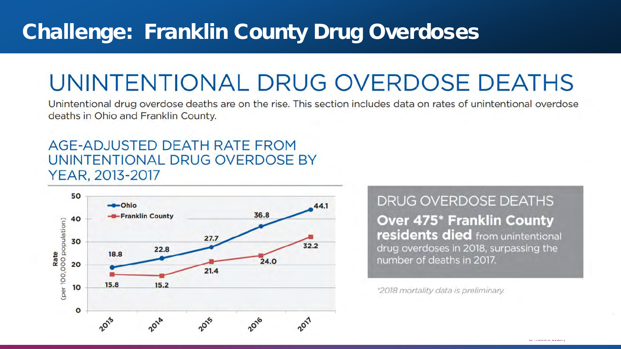#### Challenge: Franklin County Drug Overdoses

## UNINTENTIONAL DRUG OVERDOSE DEATHS

Unintentional drug overdose deaths are on the rise. This section includes data on rates of unintentional overdose deaths in Ohio and Franklin County.

#### AGE-ADJUSTED DEATH RATE FROM UNINTENTIONAL DRUG OVERDOSE BY YEAR, 2013-2017



**DRUG OVERDOSE DEATHS Over 475\* Franklin County** residents died from unintentional drug overdoses in 2018, surpassing the number of deaths in 2017.

\*2018 mortality data is preliminary.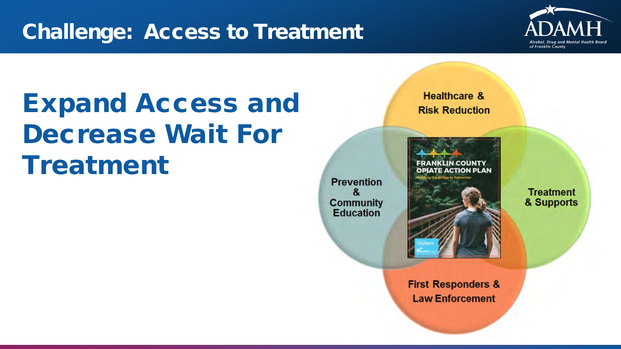#### Challenge: Access to Treatment



## Expand Access and Decrease Wait For Treatment

**Prevention** 8. **Community Education** 



**Healthcare &** 

**Risk Reduction** 

& Supports

**Treatment** 

**First Responders & Law Enforcement**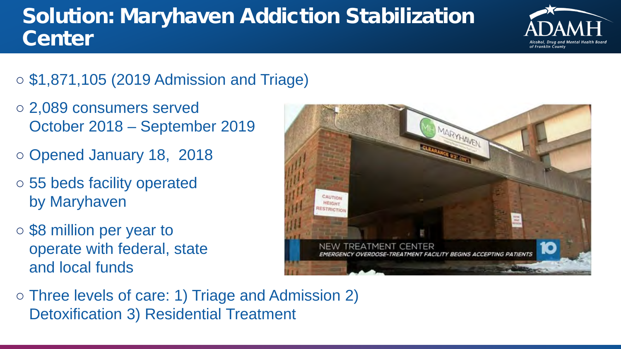## Solution: Maryhaven Addiction Stabilization **Center**



- \$1,871,105 (2019 Admission and Triage)
- 2,089 consumers served October 2018 – September 2019
- Opened January 18, 2018
- 55 beds facility operated by Maryhaven
- \$8 million per year to operate with federal, state and local funds



○ Three levels of care: 1) Triage and Admission 2) Detoxification 3) Residential Treatment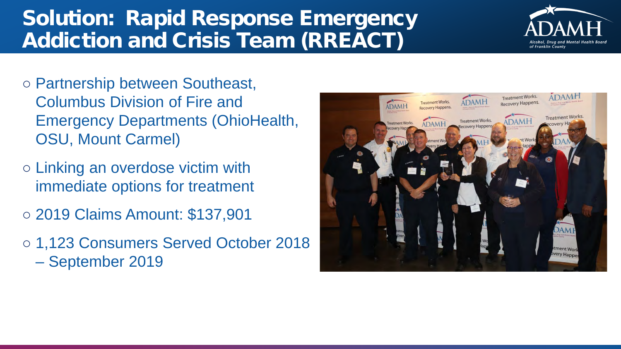#### Solution: Rapid Response Emergency Addiction and Crisis Team (RREACT)



- Partnership between Southeast, Columbus Division of Fire and Emergency Departments (OhioHealth, OSU, Mount Carmel)
- Linking an overdose victim with immediate options for treatment
- 2019 Claims Amount: \$137,901
- 1,123 Consumers Served October 2018 – September 2019

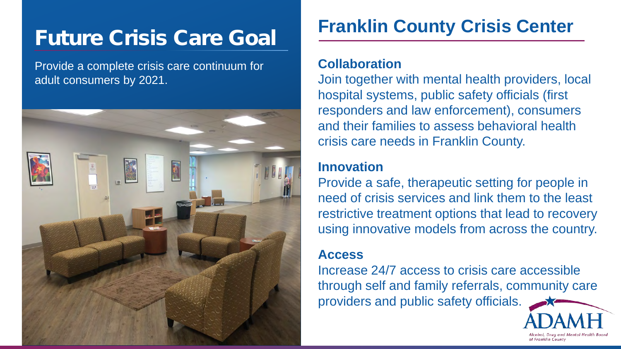## Future Crisis Care Goal

Provide a complete crisis care continuum for adult consumers by 2021.



#### **Franklin County Crisis Center**

#### **Collaboration**

Join together with mental health providers, local hospital systems, public safety officials (first responders and law enforcement), consumers and their families to assess behavioral health crisis care needs in Franklin County.

#### **Innovation**

Provide a safe, therapeutic setting for people in need of crisis services and link them to the least restrictive treatment options that lead to recovery using innovative models from across the country.

#### **Access**

Increase 24/7 access to crisis care accessible through self and family referrals, community care providers and public safety officials.

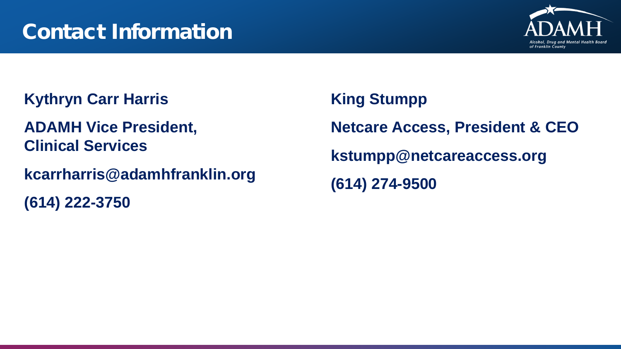

**Kythryn Carr Harris**

**ADAMH Vice President, Clinical Services**

**kcarrharris@adamhfranklin.org**

**(614) 222-3750**

**King Stumpp Netcare Access, President & CEO kstumpp@netcareaccess.org (614) 274-9500**